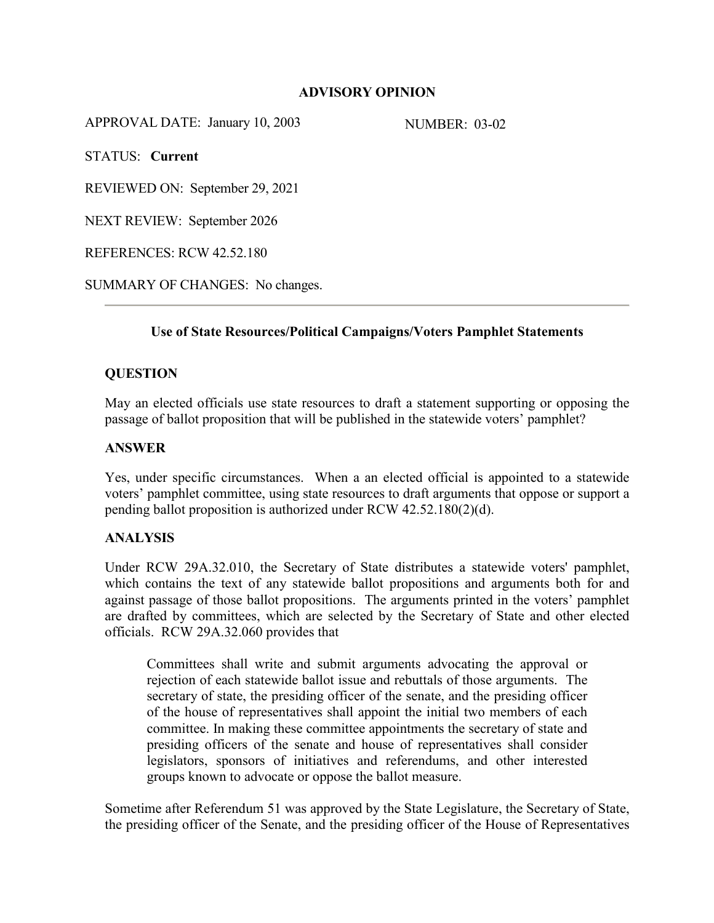## **ADVISORY OPINION**

APPROVAL DATE: January 10, 2003 NUMBER: 03-02

STATUS: **Current**

REVIEWED ON: September 29, 2021

NEXT REVIEW: September 2026

REFERENCES: RCW 42.52.180

SUMMARY OF CHANGES: No changes.

# **Use of State Resources/Political Campaigns/Voters Pamphlet Statements**

#### **QUESTION**

May an elected officials use state resources to draft a statement supporting or opposing the passage of ballot proposition that will be published in the statewide voters' pamphlet?

#### **ANSWER**

Yes, under specific circumstances. When a an elected official is appointed to a statewide voters' pamphlet committee, using state resources to draft arguments that oppose or support a pending ballot proposition is authorized under RCW 42.52.180(2)(d).

## **ANALYSIS**

Under RCW 29A.32.010, the Secretary of State distributes a statewide voters' pamphlet, which contains the text of any statewide ballot propositions and arguments both for and against passage of those ballot propositions. The arguments printed in the voters' pamphlet are drafted by committees, which are selected by the Secretary of State and other elected officials. RCW 29A.32.060 provides that

Committees shall write and submit arguments advocating the approval or rejection of each statewide ballot issue and rebuttals of those arguments. The secretary of state, the presiding officer of the senate, and the presiding officer of the house of representatives shall appoint the initial two members of each committee. In making these committee appointments the secretary of state and presiding officers of the senate and house of representatives shall consider legislators, sponsors of initiatives and referendums, and other interested groups known to advocate or oppose the ballot measure.

Sometime after Referendum 51 was approved by the State Legislature, the Secretary of State, the presiding officer of the Senate, and the presiding officer of the House of Representatives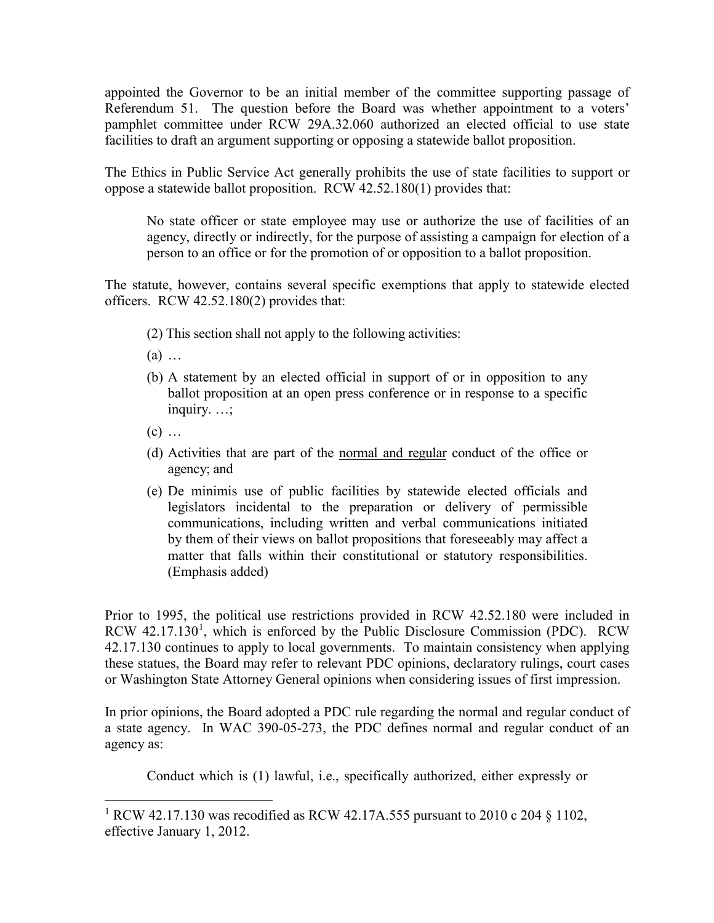appointed the Governor to be an initial member of the committee supporting passage of Referendum 51. The question before the Board was whether appointment to a voters' pamphlet committee under RCW 29A.32.060 authorized an elected official to use state facilities to draft an argument supporting or opposing a statewide ballot proposition.

The Ethics in Public Service Act generally prohibits the use of state facilities to support or oppose a statewide ballot proposition. RCW 42.52.180(1) provides that:

No state officer or state employee may use or authorize the use of facilities of an agency, directly or indirectly, for the purpose of assisting a campaign for election of a person to an office or for the promotion of or opposition to a ballot proposition.

The statute, however, contains several specific exemptions that apply to statewide elected officers. RCW 42.52.180(2) provides that:

- (2) This section shall not apply to the following activities:
- (a) …
- (b) A statement by an elected official in support of or in opposition to any ballot proposition at an open press conference or in response to a specific inquiry. …;
- $(c)$  ...

 $\overline{a}$ 

- (d) Activities that are part of the normal and regular conduct of the office or agency; and
- (e) De minimis use of public facilities by statewide elected officials and legislators incidental to the preparation or delivery of permissible communications, including written and verbal communications initiated by them of their views on ballot propositions that foreseeably may affect a matter that falls within their constitutional or statutory responsibilities. (Emphasis added)

Prior to 1995, the political use restrictions provided in RCW 42.52.180 were included in RCW 42.[1](#page-1-0)7.130<sup>1</sup>, which is enforced by the Public Disclosure Commission (PDC). RCW 42.17.130 continues to apply to local governments. To maintain consistency when applying these statues, the Board may refer to relevant PDC opinions, declaratory rulings, court cases or Washington State Attorney General opinions when considering issues of first impression.

In prior opinions, the Board adopted a PDC rule regarding the normal and regular conduct of a state agency. In WAC 390-05-273, the PDC defines normal and regular conduct of an agency as:

Conduct which is (1) lawful, i.e., specifically authorized, either expressly or

<span id="page-1-0"></span><sup>&</sup>lt;sup>1</sup> RCW [42.17.130](http://app.leg.wa.gov/RCW/default.aspx?cite=42.17.130) was recodified as RCW [42.17A.555](http://app.leg.wa.gov/RCW/default.aspx?cite=42.17A.555) pursuant to 2010 c 204  $\S$  1102, effective January 1, 2012.